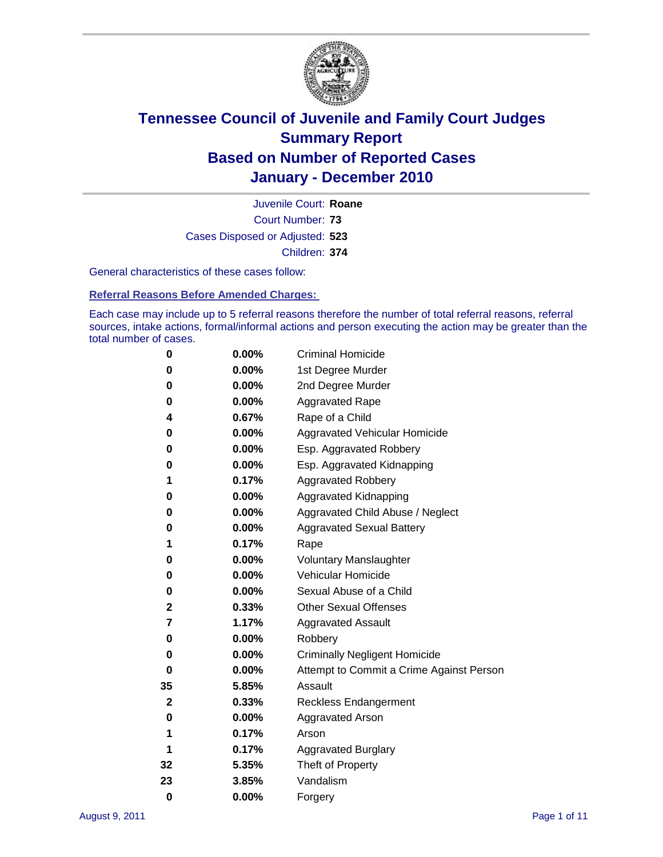

Court Number: **73** Juvenile Court: **Roane** Cases Disposed or Adjusted: **523** Children: **374**

General characteristics of these cases follow:

**Referral Reasons Before Amended Charges:** 

Each case may include up to 5 referral reasons therefore the number of total referral reasons, referral sources, intake actions, formal/informal actions and person executing the action may be greater than the total number of cases.

| 0  | 0.00% | <b>Criminal Homicide</b>                 |
|----|-------|------------------------------------------|
| 0  | 0.00% | 1st Degree Murder                        |
| 0  | 0.00% | 2nd Degree Murder                        |
| 0  | 0.00% | <b>Aggravated Rape</b>                   |
| 4  | 0.67% | Rape of a Child                          |
| 0  | 0.00% | Aggravated Vehicular Homicide            |
| 0  | 0.00% | Esp. Aggravated Robbery                  |
| 0  | 0.00% | Esp. Aggravated Kidnapping               |
| 1  | 0.17% | <b>Aggravated Robbery</b>                |
| 0  | 0.00% | Aggravated Kidnapping                    |
| 0  | 0.00% | Aggravated Child Abuse / Neglect         |
| 0  | 0.00% | <b>Aggravated Sexual Battery</b>         |
| 1  | 0.17% | Rape                                     |
| 0  | 0.00% | <b>Voluntary Manslaughter</b>            |
| 0  | 0.00% | Vehicular Homicide                       |
| 0  | 0.00% | Sexual Abuse of a Child                  |
| 2  | 0.33% | <b>Other Sexual Offenses</b>             |
| 7  | 1.17% | <b>Aggravated Assault</b>                |
| 0  | 0.00% | Robbery                                  |
| 0  | 0.00% | <b>Criminally Negligent Homicide</b>     |
| 0  | 0.00% | Attempt to Commit a Crime Against Person |
| 35 | 5.85% | Assault                                  |
| 2  | 0.33% | <b>Reckless Endangerment</b>             |
| 0  | 0.00% | <b>Aggravated Arson</b>                  |
| 1  | 0.17% | Arson                                    |
| 1  | 0.17% | <b>Aggravated Burglary</b>               |
| 32 | 5.35% | Theft of Property                        |
| 23 | 3.85% | Vandalism                                |
| 0  | 0.00% | Forgery                                  |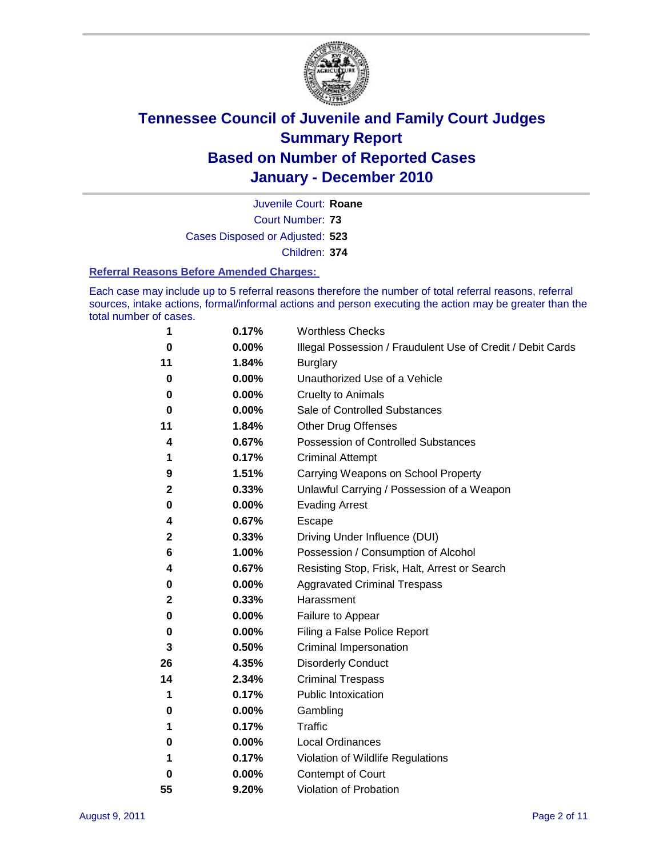

Court Number: **73** Juvenile Court: **Roane**

Cases Disposed or Adjusted: **523**

Children: **374**

#### **Referral Reasons Before Amended Charges:**

Each case may include up to 5 referral reasons therefore the number of total referral reasons, referral sources, intake actions, formal/informal actions and person executing the action may be greater than the total number of cases.

| 1            | 0.17% | <b>Worthless Checks</b>                                     |
|--------------|-------|-------------------------------------------------------------|
| 0            | 0.00% | Illegal Possession / Fraudulent Use of Credit / Debit Cards |
| 11           | 1.84% | <b>Burglary</b>                                             |
| 0            | 0.00% | Unauthorized Use of a Vehicle                               |
| 0            | 0.00% | <b>Cruelty to Animals</b>                                   |
| 0            | 0.00% | Sale of Controlled Substances                               |
| 11           | 1.84% | <b>Other Drug Offenses</b>                                  |
| 4            | 0.67% | Possession of Controlled Substances                         |
| 1            | 0.17% | <b>Criminal Attempt</b>                                     |
| 9            | 1.51% | Carrying Weapons on School Property                         |
| $\mathbf{2}$ | 0.33% | Unlawful Carrying / Possession of a Weapon                  |
| 0            | 0.00% | <b>Evading Arrest</b>                                       |
| 4            | 0.67% | Escape                                                      |
| 2            | 0.33% | Driving Under Influence (DUI)                               |
| 6            | 1.00% | Possession / Consumption of Alcohol                         |
| 4            | 0.67% | Resisting Stop, Frisk, Halt, Arrest or Search               |
| 0            | 0.00% | <b>Aggravated Criminal Trespass</b>                         |
| 2            | 0.33% | Harassment                                                  |
| 0            | 0.00% | Failure to Appear                                           |
| 0            | 0.00% | Filing a False Police Report                                |
| 3            | 0.50% | Criminal Impersonation                                      |
| 26           | 4.35% | <b>Disorderly Conduct</b>                                   |
| 14           | 2.34% | <b>Criminal Trespass</b>                                    |
| 1            | 0.17% | <b>Public Intoxication</b>                                  |
| 0            | 0.00% | Gambling                                                    |
| 1            | 0.17% | <b>Traffic</b>                                              |
| 0            | 0.00% | <b>Local Ordinances</b>                                     |
| 1            | 0.17% | Violation of Wildlife Regulations                           |
| 0            | 0.00% | Contempt of Court                                           |
| 55           | 9.20% | Violation of Probation                                      |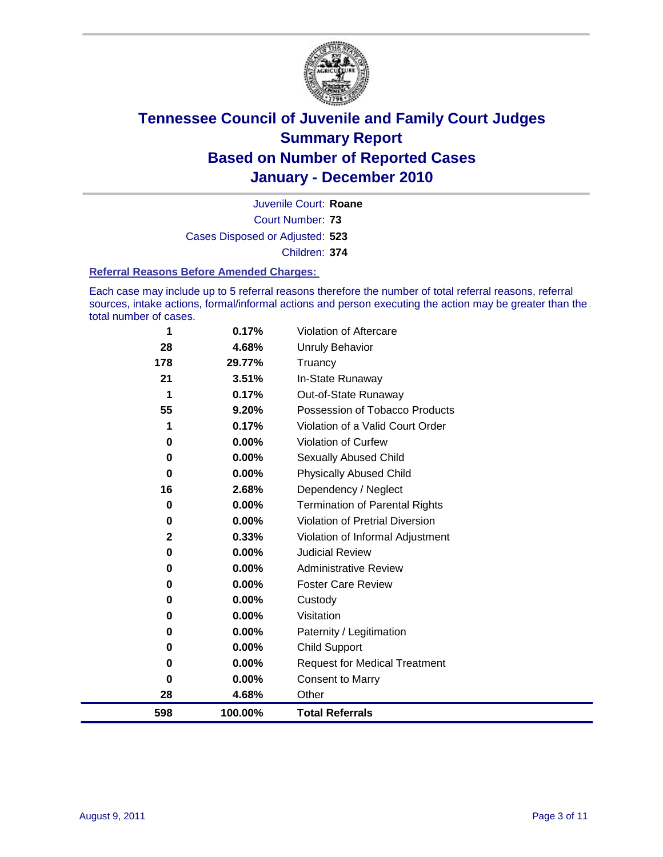

Court Number: **73** Juvenile Court: **Roane** Cases Disposed or Adjusted: **523** Children: **374**

#### **Referral Reasons Before Amended Charges:**

Each case may include up to 5 referral reasons therefore the number of total referral reasons, referral sources, intake actions, formal/informal actions and person executing the action may be greater than the total number of cases.

| 598     | 100.00%        | <b>Total Referrals</b>                                 |
|---------|----------------|--------------------------------------------------------|
| 28      | 4.68%          | Other                                                  |
| 0       | 0.00%          | <b>Consent to Marry</b>                                |
| 0       | 0.00%          | <b>Request for Medical Treatment</b>                   |
| 0       | 0.00%          | <b>Child Support</b>                                   |
| 0       | 0.00%          | Paternity / Legitimation                               |
| 0       | 0.00%          | Visitation                                             |
| 0       | 0.00%          | Custody                                                |
| 0       | $0.00\%$       | <b>Foster Care Review</b>                              |
| 0       | $0.00\%$       | <b>Administrative Review</b>                           |
| 0       | 0.00%          | <b>Judicial Review</b>                                 |
| 2       | 0.33%          | Violation of Informal Adjustment                       |
| 0       | $0.00\%$       | <b>Violation of Pretrial Diversion</b>                 |
| 0       | 0.00%          | <b>Termination of Parental Rights</b>                  |
| 16      | 2.68%          | Dependency / Neglect                                   |
| 0       | $0.00\%$       | <b>Physically Abused Child</b>                         |
| 0       | $0.00\%$       | Sexually Abused Child                                  |
| 0       | $0.00\%$       | Violation of Curfew                                    |
| 1       | 0.17%          | Violation of a Valid Court Order                       |
| 1<br>55 | 0.17%<br>9.20% | Out-of-State Runaway<br>Possession of Tobacco Products |
| 21      | 3.51%          | In-State Runaway                                       |
| 178     | 29.77%         | Truancy                                                |
| 28      | 4.68%          | Unruly Behavior                                        |
| 1       | 0.17%          | <b>Violation of Aftercare</b>                          |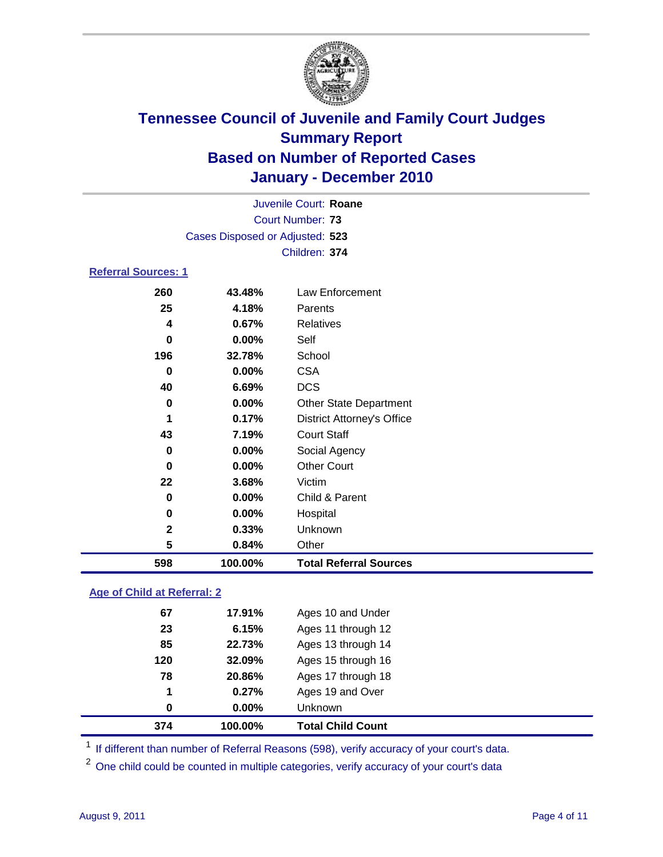

|                            |                                 | Juvenile Court: Roane             |  |
|----------------------------|---------------------------------|-----------------------------------|--|
|                            |                                 | Court Number: 73                  |  |
|                            | Cases Disposed or Adjusted: 523 |                                   |  |
|                            |                                 | Children: 374                     |  |
| <b>Referral Sources: 1</b> |                                 |                                   |  |
| 260                        | 43.48%                          | Law Enforcement                   |  |
| 25                         | 4.18%                           | Parents                           |  |
| 4                          | 0.67%                           | Relatives                         |  |
| 0                          | $0.00\%$                        | Self                              |  |
| 196                        | 32.78%                          | School                            |  |
| 0                          | $0.00\%$                        | <b>CSA</b>                        |  |
| 40                         | 6.69%                           | <b>DCS</b>                        |  |
| 0                          | $0.00\%$                        | <b>Other State Department</b>     |  |
| 1                          | 0.17%                           | <b>District Attorney's Office</b> |  |
| 43                         | 7.19%                           | <b>Court Staff</b>                |  |
| 0                          | $0.00\%$                        | Social Agency                     |  |
| 0                          | $0.00\%$                        | <b>Other Court</b>                |  |
| 22                         | 3.68%                           | Victim                            |  |

| 598 | 100.00%  | <b>Total Referral Sources</b> |
|-----|----------|-------------------------------|
| 5   | 0.84%    | Other                         |
| 2   | 0.33%    | <b>Unknown</b>                |
| 0   | $0.00\%$ | Hospital                      |
| 0   | $0.00\%$ | Child & Parent                |
|     |          |                               |

### **Age of Child at Referral: 2**

| 374 | 100.00% | <b>Total Child Count</b> |  |
|-----|---------|--------------------------|--|
| 0   | 0.00%   | <b>Unknown</b>           |  |
| 1   | 0.27%   | Ages 19 and Over         |  |
| 78  | 20.86%  | Ages 17 through 18       |  |
| 120 | 32.09%  | Ages 15 through 16       |  |
| 85  | 22.73%  | Ages 13 through 14       |  |
| 23  | 6.15%   | Ages 11 through 12       |  |
| 67  | 17.91%  | Ages 10 and Under        |  |
|     |         |                          |  |

<sup>1</sup> If different than number of Referral Reasons (598), verify accuracy of your court's data.

<sup>2</sup> One child could be counted in multiple categories, verify accuracy of your court's data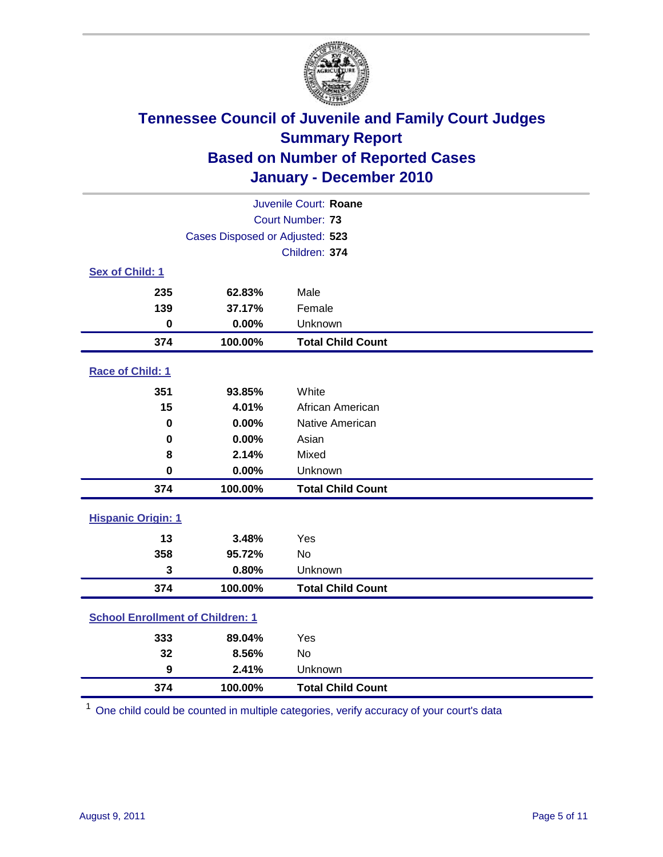

| Juvenile Court: Roane                   |                                 |                          |  |  |  |
|-----------------------------------------|---------------------------------|--------------------------|--|--|--|
|                                         | <b>Court Number: 73</b>         |                          |  |  |  |
|                                         | Cases Disposed or Adjusted: 523 |                          |  |  |  |
|                                         | Children: 374                   |                          |  |  |  |
| Sex of Child: 1                         |                                 |                          |  |  |  |
| 235                                     | 62.83%                          | Male                     |  |  |  |
| 139                                     | 37.17%                          | Female                   |  |  |  |
| $\mathbf 0$                             | 0.00%                           | Unknown                  |  |  |  |
| 374                                     | 100.00%                         | <b>Total Child Count</b> |  |  |  |
| Race of Child: 1                        |                                 |                          |  |  |  |
| 351                                     | 93.85%                          | White                    |  |  |  |
| 15                                      | 4.01%                           | African American         |  |  |  |
| 0                                       | 0.00%                           | Native American          |  |  |  |
| $\mathbf 0$                             | 0.00%                           | Asian                    |  |  |  |
| 8                                       | 2.14%                           | Mixed                    |  |  |  |
| $\bf{0}$                                | 0.00%                           | Unknown                  |  |  |  |
| 374                                     | 100.00%                         | <b>Total Child Count</b> |  |  |  |
| <b>Hispanic Origin: 1</b>               |                                 |                          |  |  |  |
| 13                                      | 3.48%                           | Yes                      |  |  |  |
| 358                                     | 95.72%                          | <b>No</b>                |  |  |  |
| 3                                       | 0.80%                           | Unknown                  |  |  |  |
| 374                                     | 100.00%                         | <b>Total Child Count</b> |  |  |  |
| <b>School Enrollment of Children: 1</b> |                                 |                          |  |  |  |
| 333                                     | 89.04%                          | Yes                      |  |  |  |
| 32                                      | 8.56%                           | No                       |  |  |  |
| 9                                       | 2.41%                           | Unknown                  |  |  |  |
| 374                                     | 100.00%                         | <b>Total Child Count</b> |  |  |  |

One child could be counted in multiple categories, verify accuracy of your court's data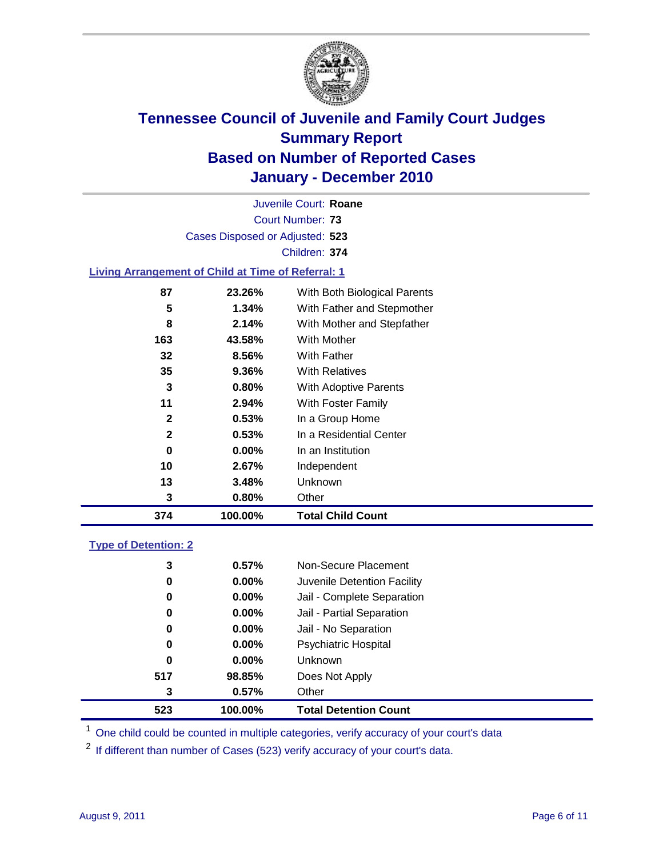

Court Number: **73** Juvenile Court: **Roane** Cases Disposed or Adjusted: **523** Children: **374**

### **Living Arrangement of Child at Time of Referral: 1**

| 374          | 100.00%  | <b>Total Child Count</b>     |
|--------------|----------|------------------------------|
| 3            | 0.80%    | Other                        |
| 13           | 3.48%    | Unknown                      |
| 10           | 2.67%    | Independent                  |
| 0            | $0.00\%$ | In an Institution            |
| 2            | 0.53%    | In a Residential Center      |
| $\mathbf{2}$ | 0.53%    | In a Group Home              |
| 11           | 2.94%    | With Foster Family           |
| 3            | 0.80%    | With Adoptive Parents        |
| 35           | 9.36%    | <b>With Relatives</b>        |
| 32           | 8.56%    | <b>With Father</b>           |
| 163          | 43.58%   | With Mother                  |
| 8            | 2.14%    | With Mother and Stepfather   |
| 5            | $1.34\%$ | With Father and Stepmother   |
| 87           | 23.26%   | With Both Biological Parents |
|              |          |                              |

#### **Type of Detention: 2**

| 523 | 100.00%  | <b>Total Detention Count</b> |
|-----|----------|------------------------------|
| 3   | 0.57%    | Other                        |
| 517 | 98.85%   | Does Not Apply               |
| 0   | $0.00\%$ | <b>Unknown</b>               |
| 0   | $0.00\%$ | <b>Psychiatric Hospital</b>  |
| 0   | 0.00%    | Jail - No Separation         |
| 0   | $0.00\%$ | Jail - Partial Separation    |
| 0   | 0.00%    | Jail - Complete Separation   |
| 0   | 0.00%    | Juvenile Detention Facility  |
| 3   | 0.57%    | Non-Secure Placement         |
|     |          |                              |

<sup>1</sup> One child could be counted in multiple categories, verify accuracy of your court's data

<sup>2</sup> If different than number of Cases (523) verify accuracy of your court's data.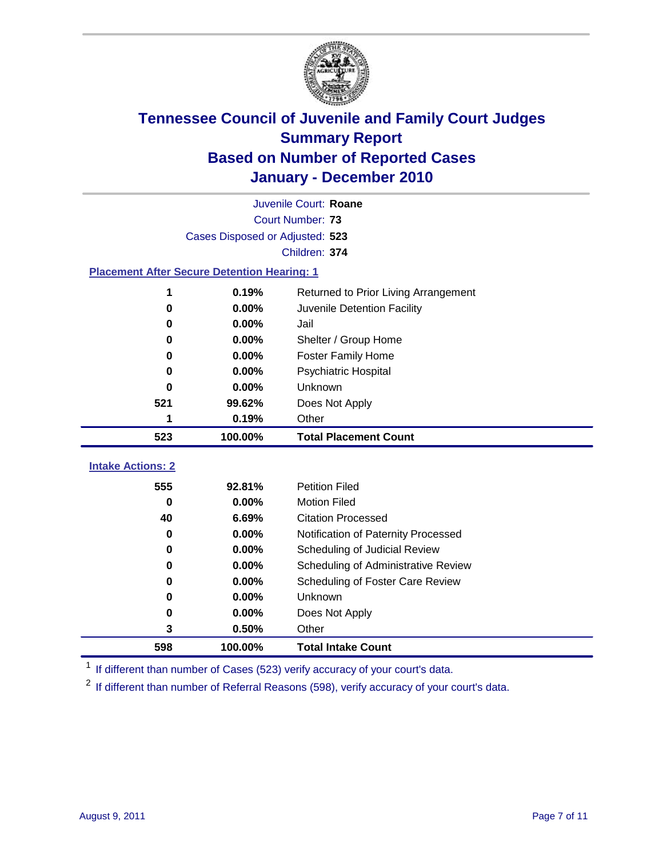

|                                                    |                 | Juvenile Court: Roane                        |  |  |
|----------------------------------------------------|-----------------|----------------------------------------------|--|--|
| Court Number: 73                                   |                 |                                              |  |  |
| Cases Disposed or Adjusted: 523                    |                 |                                              |  |  |
|                                                    |                 | Children: 374                                |  |  |
| <b>Placement After Secure Detention Hearing: 1</b> |                 |                                              |  |  |
| 1                                                  | 0.19%           | Returned to Prior Living Arrangement         |  |  |
| 0                                                  | 0.00%           | Juvenile Detention Facility                  |  |  |
| 0                                                  | 0.00%           | Jail                                         |  |  |
| 0                                                  | 0.00%           | Shelter / Group Home                         |  |  |
| 0                                                  | 0.00%           | <b>Foster Family Home</b>                    |  |  |
| 0                                                  | 0.00%           | Psychiatric Hospital                         |  |  |
| 0                                                  | 0.00%           | Unknown                                      |  |  |
| 521                                                | 99.62%          | Does Not Apply                               |  |  |
| 1                                                  | 0.19%           | Other                                        |  |  |
| 523                                                | 100.00%         | <b>Total Placement Count</b>                 |  |  |
| <b>Intake Actions: 2</b>                           |                 |                                              |  |  |
|                                                    |                 |                                              |  |  |
| 555<br>$\bf{0}$                                    | 92.81%<br>0.00% | <b>Petition Filed</b><br><b>Motion Filed</b> |  |  |
| 40                                                 | 6.69%           | <b>Citation Processed</b>                    |  |  |
|                                                    |                 |                                              |  |  |
| 0<br>$\bf{0}$                                      | 0.00%<br>0.00%  | Notification of Paternity Processed          |  |  |
|                                                    |                 | Scheduling of Judicial Review                |  |  |
| 0                                                  | 0.00%           | Scheduling of Administrative Review          |  |  |
| 0                                                  | 0.00%           | Scheduling of Foster Care Review             |  |  |
| 0                                                  | 0.00%           | Unknown                                      |  |  |
| 0                                                  | 0.00%           | Does Not Apply                               |  |  |
| 3                                                  | 0.50%           | Other                                        |  |  |
| 598                                                | 100.00%         | <b>Total Intake Count</b>                    |  |  |

<sup>1</sup> If different than number of Cases (523) verify accuracy of your court's data.

<sup>2</sup> If different than number of Referral Reasons (598), verify accuracy of your court's data.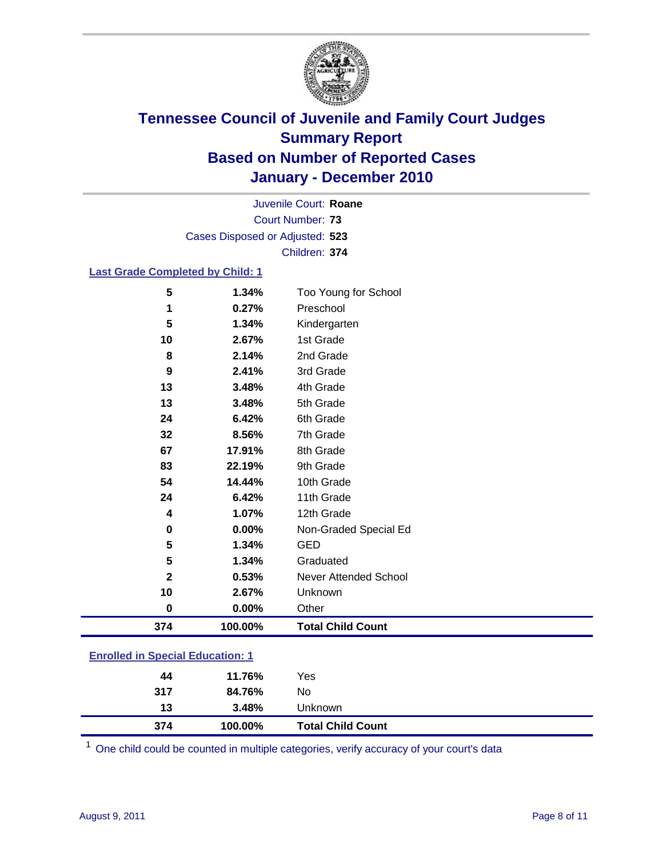

Court Number: **73** Juvenile Court: **Roane** Cases Disposed or Adjusted: **523** Children: **374**

### **Last Grade Completed by Child: 1**

| 5                                       | 1.34%   | Too Young for School         |  |  |
|-----------------------------------------|---------|------------------------------|--|--|
| 1                                       | 0.27%   | Preschool                    |  |  |
| 5                                       | 1.34%   | Kindergarten                 |  |  |
| 10                                      | 2.67%   | 1st Grade                    |  |  |
| 8                                       | 2.14%   | 2nd Grade                    |  |  |
| 9                                       | 2.41%   | 3rd Grade                    |  |  |
| 13                                      | 3.48%   | 4th Grade                    |  |  |
| 13                                      | 3.48%   | 5th Grade                    |  |  |
| 24                                      | 6.42%   | 6th Grade                    |  |  |
| 32                                      | 8.56%   | 7th Grade                    |  |  |
| 67                                      | 17.91%  | 8th Grade                    |  |  |
| 83                                      | 22.19%  | 9th Grade                    |  |  |
| 54                                      | 14.44%  | 10th Grade                   |  |  |
| 24                                      | 6.42%   | 11th Grade                   |  |  |
| 4                                       | 1.07%   | 12th Grade                   |  |  |
| 0                                       | 0.00%   | Non-Graded Special Ed        |  |  |
| 5                                       | 1.34%   | <b>GED</b>                   |  |  |
| 5                                       | 1.34%   | Graduated                    |  |  |
| $\overline{\mathbf{2}}$                 | 0.53%   | <b>Never Attended School</b> |  |  |
| 10                                      | 2.67%   | Unknown                      |  |  |
| 0                                       | 0.00%   | Other                        |  |  |
| 374                                     | 100.00% | <b>Total Child Count</b>     |  |  |
| <b>Enrolled in Special Education: 1</b> |         |                              |  |  |

| 374 | 100.00% | <b>Total Child Count</b> |  |  |  |
|-----|---------|--------------------------|--|--|--|
| 13  | 3.48%   | <b>Unknown</b>           |  |  |  |
| 317 | 84.76%  | No                       |  |  |  |
| 44  | 11.76%  | Yes                      |  |  |  |
|     |         |                          |  |  |  |

One child could be counted in multiple categories, verify accuracy of your court's data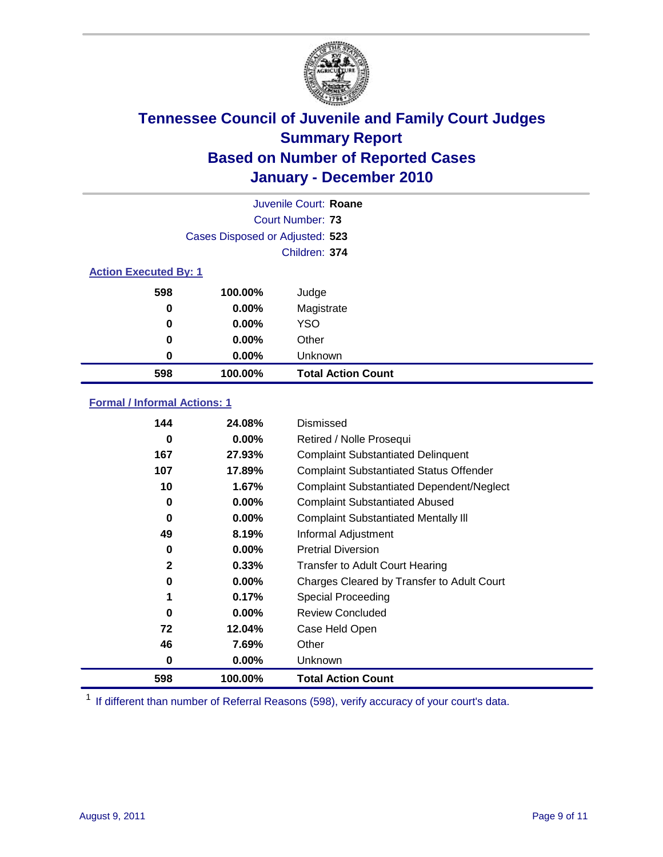

|                              |                                 | Juvenile Court: Roane     |
|------------------------------|---------------------------------|---------------------------|
|                              |                                 | Court Number: 73          |
|                              | Cases Disposed or Adjusted: 523 |                           |
|                              |                                 | Children: 374             |
| <b>Action Executed By: 1</b> |                                 |                           |
| 598                          | 100.00%                         | Judge                     |
| 0                            | $0.00\%$                        | Magistrate                |
| 0                            | $0.00\%$                        | <b>YSO</b>                |
| 0                            | $0.00\%$                        | Other                     |
| 0                            | 0.00%                           | Unknown                   |
| 598                          | 100.00%                         | <b>Total Action Count</b> |

### **Formal / Informal Actions: 1**

| 144          | 24.08%   | Dismissed                                        |
|--------------|----------|--------------------------------------------------|
| 0            | $0.00\%$ | Retired / Nolle Prosequi                         |
| 167          | 27.93%   | <b>Complaint Substantiated Delinquent</b>        |
| 107          | 17.89%   | <b>Complaint Substantiated Status Offender</b>   |
| 10           | 1.67%    | <b>Complaint Substantiated Dependent/Neglect</b> |
| 0            | $0.00\%$ | <b>Complaint Substantiated Abused</b>            |
| 0            | $0.00\%$ | <b>Complaint Substantiated Mentally III</b>      |
| 49           | 8.19%    | Informal Adjustment                              |
| 0            | $0.00\%$ | <b>Pretrial Diversion</b>                        |
| $\mathbf{2}$ | 0.33%    | <b>Transfer to Adult Court Hearing</b>           |
| 0            | $0.00\%$ | Charges Cleared by Transfer to Adult Court       |
|              | 0.17%    | Special Proceeding                               |
| 0            | $0.00\%$ | <b>Review Concluded</b>                          |
| 72           | 12.04%   | Case Held Open                                   |
| 46           | 7.69%    | Other                                            |
| 0            | $0.00\%$ | <b>Unknown</b>                                   |
| 598          | 100.00%  | <b>Total Action Count</b>                        |

<sup>1</sup> If different than number of Referral Reasons (598), verify accuracy of your court's data.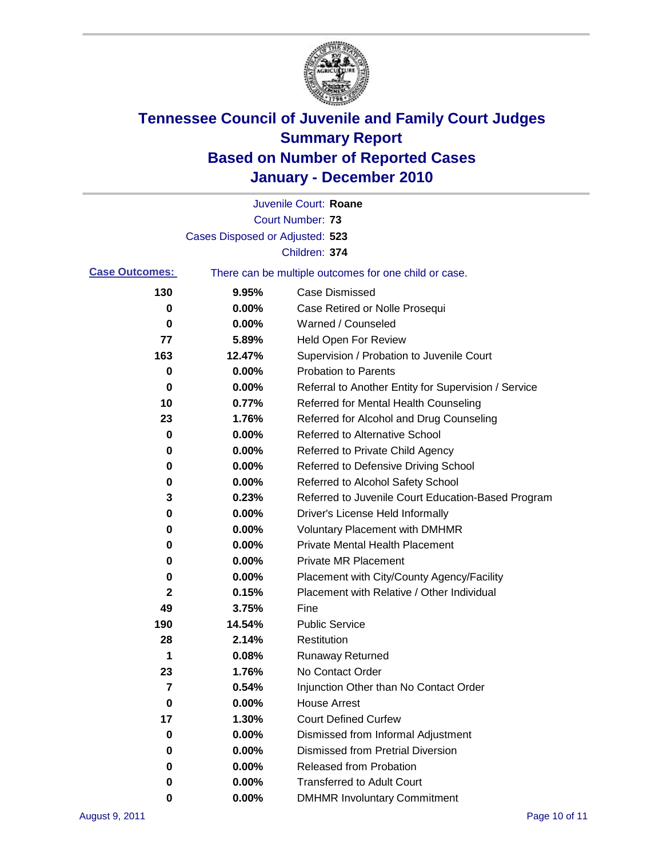

|                       |                                 | Juvenile Court: Roane                                 |
|-----------------------|---------------------------------|-------------------------------------------------------|
|                       |                                 | Court Number: 73                                      |
|                       | Cases Disposed or Adjusted: 523 |                                                       |
|                       |                                 | Children: 374                                         |
| <b>Case Outcomes:</b> |                                 | There can be multiple outcomes for one child or case. |
| 130                   | 9.95%                           | <b>Case Dismissed</b>                                 |
| 0                     | 0.00%                           | Case Retired or Nolle Prosequi                        |
| 0                     | 0.00%                           | Warned / Counseled                                    |
| 77                    | 5.89%                           | <b>Held Open For Review</b>                           |
| 163                   | 12.47%                          | Supervision / Probation to Juvenile Court             |
| 0                     | 0.00%                           | <b>Probation to Parents</b>                           |
| 0                     | 0.00%                           | Referral to Another Entity for Supervision / Service  |
| 10                    | 0.77%                           | Referred for Mental Health Counseling                 |
| 23                    | 1.76%                           | Referred for Alcohol and Drug Counseling              |
| 0                     | 0.00%                           | <b>Referred to Alternative School</b>                 |
| 0                     | 0.00%                           | Referred to Private Child Agency                      |
| 0                     | 0.00%                           | Referred to Defensive Driving School                  |
| 0                     | 0.00%                           | Referred to Alcohol Safety School                     |
| 3                     | 0.23%                           | Referred to Juvenile Court Education-Based Program    |
| 0                     | 0.00%                           | Driver's License Held Informally                      |
| 0                     | 0.00%                           | <b>Voluntary Placement with DMHMR</b>                 |
| 0                     | 0.00%                           | <b>Private Mental Health Placement</b>                |
| 0                     | 0.00%                           | <b>Private MR Placement</b>                           |
| 0                     | 0.00%                           | Placement with City/County Agency/Facility            |
| 2                     | 0.15%                           | Placement with Relative / Other Individual            |
| 49                    | 3.75%                           | Fine                                                  |
| 190                   | 14.54%                          | <b>Public Service</b>                                 |
| 28                    | 2.14%                           | Restitution                                           |
| 1                     | 0.08%                           | <b>Runaway Returned</b>                               |
| 23                    | 1.76%                           | No Contact Order                                      |
| 7                     | 0.54%                           | Injunction Other than No Contact Order                |
| 0                     | 0.00%                           | <b>House Arrest</b>                                   |
| 17                    | 1.30%                           | <b>Court Defined Curfew</b>                           |
| 0                     | 0.00%                           | Dismissed from Informal Adjustment                    |
| 0                     | 0.00%                           | <b>Dismissed from Pretrial Diversion</b>              |
| 0                     | 0.00%                           | Released from Probation                               |
| 0                     | 0.00%                           | <b>Transferred to Adult Court</b>                     |
| 0                     | 0.00%                           | <b>DMHMR Involuntary Commitment</b>                   |